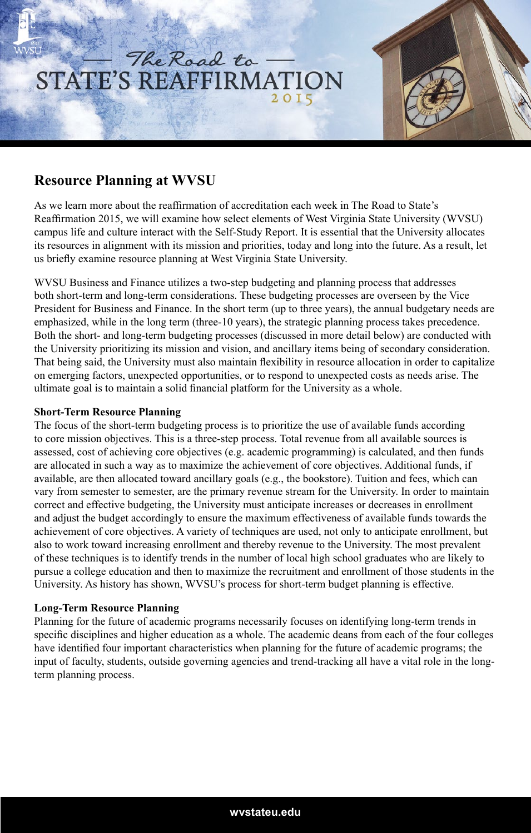# The Road to STATE'S REAFFIRMATION 2015

## **Resource Planning at WVSU**

As we learn more about the reaffirmation of accreditation each week in The Road to State's Reaffirmation 2015, we will examine how select elements of West Virginia State University (WVSU) campus life and culture interact with the Self-Study Report. It is essential that the University allocates its resources in alignment with its mission and priorities, today and long into the future. As a result, let us briefly examine resource planning at West Virginia State University.

WVSU Business and Finance utilizes a two-step budgeting and planning process that addresses both short-term and long-term considerations. These budgeting processes are overseen by the Vice President for Business and Finance. In the short term (up to three years), the annual budgetary needs are emphasized, while in the long term (three-10 years), the strategic planning process takes precedence. Both the short- and long-term budgeting processes (discussed in more detail below) are conducted with the University prioritizing its mission and vision, and ancillary items being of secondary consideration. That being said, the University must also maintain flexibility in resource allocation in order to capitalize on emerging factors, unexpected opportunities, or to respond to unexpected costs as needs arise. The ultimate goal is to maintain a solid financial platform for the University as a whole.

#### **Short-Term Resource Planning**

The focus of the short-term budgeting process is to prioritize the use of available funds according to core mission objectives. This is a three-step process. Total revenue from all available sources is assessed, cost of achieving core objectives (e.g. academic programming) is calculated, and then funds are allocated in such a way as to maximize the achievement of core objectives. Additional funds, if available, are then allocated toward ancillary goals (e.g., the bookstore). Tuition and fees, which can vary from semester to semester, are the primary revenue stream for the University. In order to maintain correct and effective budgeting, the University must anticipate increases or decreases in enrollment and adjust the budget accordingly to ensure the maximum effectiveness of available funds towards the achievement of core objectives. A variety of techniques are used, not only to anticipate enrollment, but also to work toward increasing enrollment and thereby revenue to the University. The most prevalent of these techniques is to identify trends in the number of local high school graduates who are likely to pursue a college education and then to maximize the recruitment and enrollment of those students in the University. As history has shown, WVSU's process for short-term budget planning is effective.

#### **Long-Term Resource Planning**

Planning for the future of academic programs necessarily focuses on identifying long-term trends in specific disciplines and higher education as a whole. The academic deans from each of the four colleges have identified four important characteristics when planning for the future of academic programs; the input of faculty, students, outside governing agencies and trend-tracking all have a vital role in the longterm planning process.